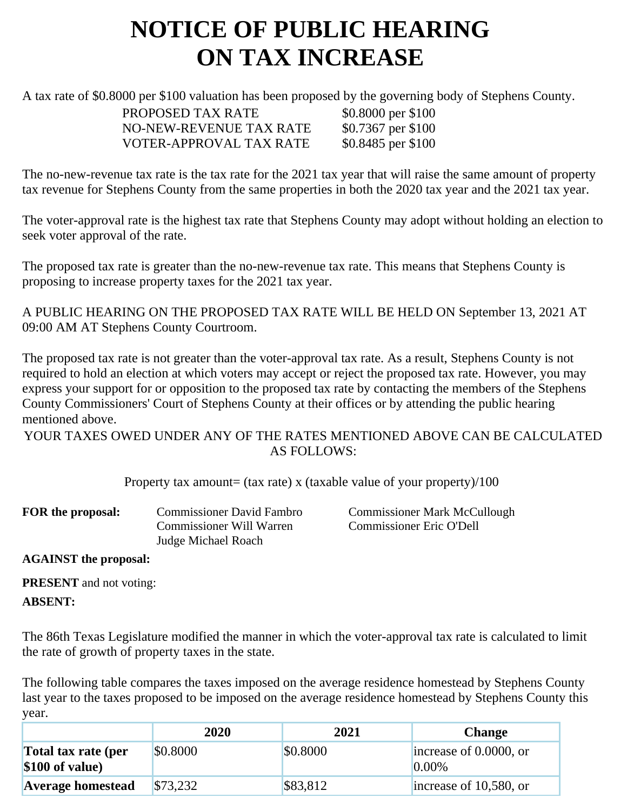## **NOTICE OF PUBLIC HEARING ON TAX INCREASE**

A tax rate of \$0.8000 per \$100 valuation has been proposed by the governing body of Stephens County.

PROPOSED TAX RATE \$0.8000 per \$100 NO-NEW-REVENUE TAX RATE \$0.7367 per \$100 VOTER-APPROVAL TAX RATE \$0.8485 per \$100

The no-new-revenue tax rate is the tax rate for the 2021 tax year that will raise the same amount of property tax revenue for Stephens County from the same properties in both the 2020 tax year and the 2021 tax year.

The voter-approval rate is the highest tax rate that Stephens County may adopt without holding an election to seek voter approval of the rate.

The proposed tax rate is greater than the no-new-revenue tax rate. This means that Stephens County is proposing to increase property taxes for the 2021 tax year.

A PUBLIC HEARING ON THE PROPOSED TAX RATE WILL BE HELD ON September 13, 2021 AT 09:00 AM AT Stephens County Courtroom.

The proposed tax rate is not greater than the voter-approval tax rate. As a result, Stephens County is not required to hold an election at which voters may accept or reject the proposed tax rate. However, you may express your support for or opposition to the proposed tax rate by contacting the members of the Stephens County Commissioners' Court of Stephens County at their offices or by attending the public hearing mentioned above.

YOUR TAXES OWED UNDER ANY OF THE RATES MENTIONED ABOVE CAN BE CALCULATED AS FOLLOWS:

Property tax amount= (tax rate) x (taxable value of your property)/100

| <b>Commissioner David Fambro</b> | Commissio           |  |
|----------------------------------|---------------------|--|
| <b>Commissioner Will Warren</b>  | Commissio           |  |
|                                  |                     |  |
|                                  | Judge Michael Roach |  |

**Form** *F* Mark McCullough oner Eric O'Dell

**AGAINST the proposal:**

**PRESENT** and not voting:

**ABSENT:**

The 86th Texas Legislature modified the manner in which the voter-approval tax rate is calculated to limit the rate of growth of property taxes in the state.

The following table compares the taxes imposed on the average residence homestead by Stephens County last year to the taxes proposed to be imposed on the average residence homestead by Stephens County this year.

|                                         | 2020     | 2021     | <b>Change</b>                      |
|-----------------------------------------|----------|----------|------------------------------------|
| Total tax rate (per<br>$$100$ of value) | \$0.8000 | \$0.8000 | increase of 0.0000, or<br>$0.00\%$ |
| <b>Average homestead</b>                | \$73,232 | \$83,812 | $ $ increase of 10,580, or         |